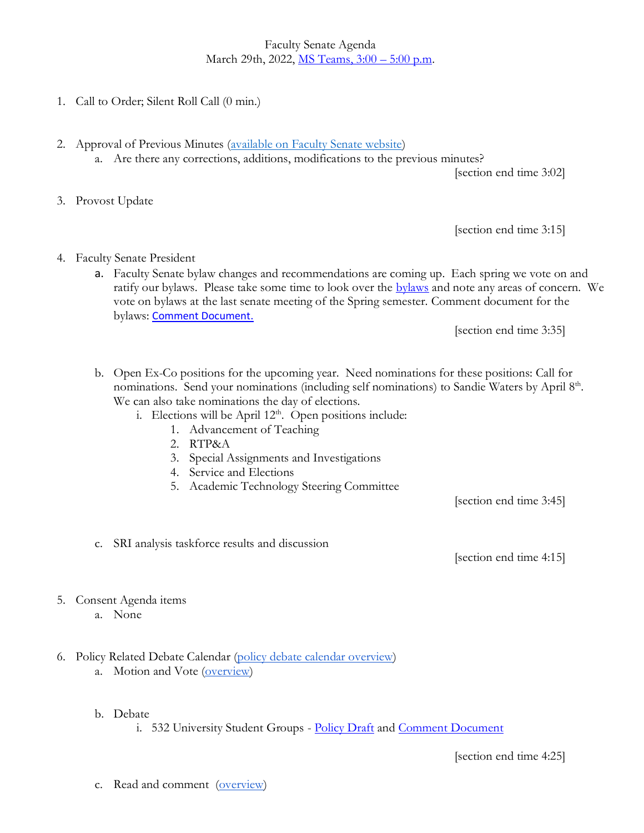Faculty Senate Agenda March 29th, 2022, [MS Teams, 3:00](https://teams.microsoft.com/l/meetup-join/19%3ameeting_NGRhN2U5ZGYtZTBiMC00YjA4LWFkZTItMWM2MmQ0MzAzNTk4%40thread.v2/0?context=%7b%22Tid%22%3a%221ea2b65f-2f5e-440e-b025-dfdfafd8e097%22%2c%22Oid%22%3a%22f063c18d-eef3-4a56-be13-50eac8a0e029%22%7d) – 5:00 p.m.

- 1. Call to Order; Silent Roll Call (0 min.)
- 2. Approval of Previous Minutes [\(available on Faculty Senate website\)](https://www.uvu.edu/facsenate/minutes.html) a. Are there any corrections, additions, modifications to the previous minutes?

[section end time 3:02]

3. Provost Update

[section end time 3:15]

- 4. Faculty Senate President
	- a. Faculty Senate bylaw changes and recommendations are coming up. Each spring we vote on and ratify our [bylaws](https://www.uvu.edu/facsenate/docs/bylaws_of_the_faculty_senate_of_utah_valley_university_ratified_4-28-21.pdf). Please take some time to look over the bylaws and note any areas of concern. We vote on bylaws at the last senate meeting of the Spring semester. Comment document for the bylaws: [Comment Document.](https://docs.google.com/document/d/1pAEoyQCGvBVS1A0cyWyXPA39MpKZQiz_lypQ1QhIedk/edit?usp=sharing)

[section end time 3:35]

- b. Open Ex-Co positions for the upcoming year. Need nominations for these positions: Call for nominations. Send your nominations (including self nominations) to Sandie Waters by April 8th. We can also take nominations the day of elections.
	- i. Elections will be April  $12<sup>th</sup>$ . Open positions include:
		- 1. Advancement of Teaching
		- 2. RTP&A
		- 3. Special Assignments and Investigations
		- 4. Service and Elections
		- 5. Academic Technology Steering Committee

[section end time 3:45]

c. SRI analysis taskforce results and discussion

[section end time 4:15]

- 5. Consent Agenda items
	- a. None
- 6. Policy Related Debate Calendar [\(policy debate calendar overview\)](https://drive.google.com/file/d/1qcAYtZh5lFnIa680jE2JKGygThjeMyzK/view?usp=sharing) a. Motion and Vote [\(overview\)](https://drive.google.com/file/d/1qcAYtZh5lFnIa680jE2JKGygThjeMyzK/view?usp=sharing)
	- b. Debate

i. 532 University Student Groups - [Policy Draft](https://policy.uvu.edu/getDisplayFile/5ce7152a587c14686e9463ce) and [Comment Document](https://docs.google.com/document/d/1vma4uFGIIKbdy9nTgNHpIxV6S-FTi7gdSTFxrKWpq9w/edit?usp=sharing)

[section end time 4:25]

c. Read and comment [\(overview\)](https://drive.google.com/file/d/1qcAYtZh5lFnIa680jE2JKGygThjeMyzK/view?usp=sharing)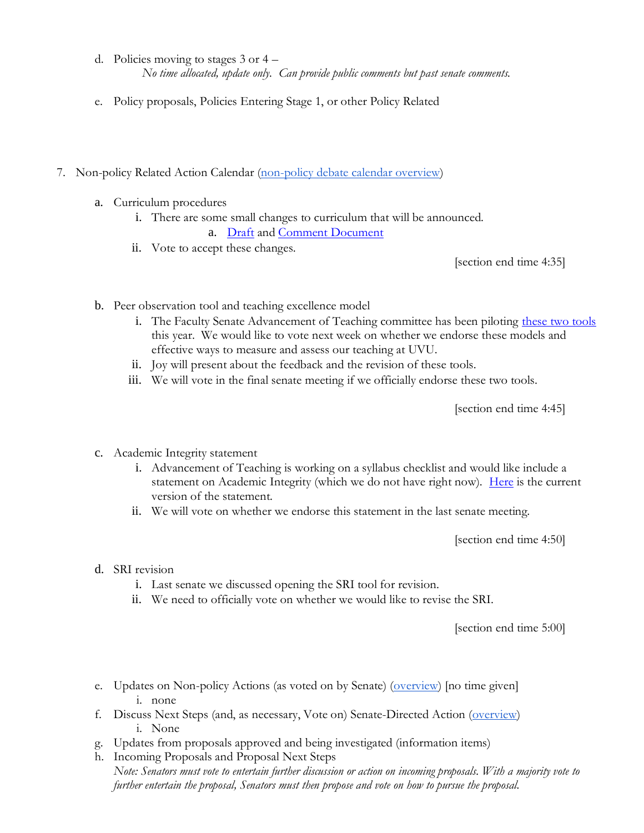- d. Policies moving to stages 3 or 4 *No time allocated, update only. Can provide public comments but past senate comments.*
- e. Policy proposals, Policies Entering Stage 1, or other Policy Related
- 7. Non-policy Related Action Calendar [\(non-policy debate calendar overview\)](https://docs.google.com/document/d/1zrPy0Fn9xcOhidd1XMgo1opj-lYb_9aTvLKg_NI1eLA/edit?usp=sharing)
	- a. Curriculum procedures
		- i. There are some small changes to curriculum that will be announced.
			- a. [Draft](https://docs.google.com/document/d/1se5eyCWvu_WdPwB2SjKdnbFxMlNkl--G/edit?usp=sharing&ouid=112351715608465631253&rtpof=true&sd=true) and [Comment Document](https://docs.google.com/document/d/1Onvy5WDm0XOFm4tZjYk-nZScN52VmffB7d3y-ZD_nVA/edit?usp=sharing)
		- ii. Vote to accept these changes.

[section end time 4:35]

- b. Peer observation tool and teaching excellence model
	- i. The Faculty Senate Advancement of Teaching committee has been piloting [these two tools](https://www.uvu.edu/otl/teachingexcellencetools.html) this year. We would like to vote next week on whether we endorse these models and effective ways to measure and assess our teaching at UVU.
	- ii. Joy will present about the feedback and the revision of these tools.
	- iii. We will vote in the final senate meeting if we officially endorse these two tools.

[section end time 4:45]

- c. Academic Integrity statement
	- i. Advancement of Teaching is working on a syllabus checklist and would like include a statement on Academic Integrity (which we do not have right now). [Here](https://www.uvu.edu/otl/syllabuschecklist.html) is the current version of the statement.
	- ii. We will vote on whether we endorse this statement in the last senate meeting.

[section end time 4:50]

- d. SRI revision
	- i. Last senate we discussed opening the SRI tool for revision.
	- ii. We need to officially vote on whether we would like to revise the SRI.

[section end time 5:00]

- e. Updates on Non-policy Actions (as voted on by Senate) [\(overview\)](https://docs.google.com/document/d/1zrPy0Fn9xcOhidd1XMgo1opj-lYb_9aTvLKg_NI1eLA/edit#bookmark=id.20s1i57f673d) [no time given] i. none
- f. Discuss Next Steps (and, as necessary, Vote on) Senate-Directed Action [\(overview\)](https://docs.google.com/document/d/1zrPy0Fn9xcOhidd1XMgo1opj-lYb_9aTvLKg_NI1eLA/edit#bookmark=id.1turi862unvt) i. None
- g. Updates from proposals approved and being investigated (information items)
- h. Incoming Proposals and Proposal Next Steps *Note: Senators must vote to entertain further discussion or action on incoming proposals. With a majority vote to further entertain the proposal, Senators must then propose and vote on how to pursue the proposal.*